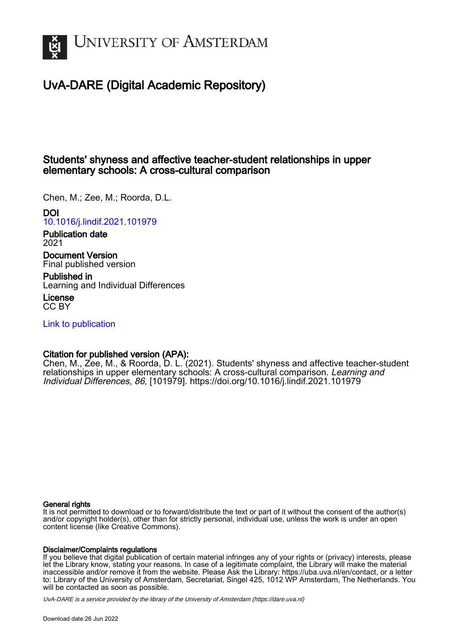

# UvA-DARE (Digital Academic Repository)

# Students' shyness and affective teacher-student relationships in upper elementary schools: A cross-cultural comparison

Chen, M.; Zee, M.; Roorda, D.L.

# DOI

[10.1016/j.lindif.2021.101979](https://doi.org/10.1016/j.lindif.2021.101979)

Publication date 2021

Document Version Final published version

Published in Learning and Individual Differences

License CC BY

[Link to publication](https://dare.uva.nl/personal/pure/en/publications/students-shyness-and-affective-teacherstudent-relationships-in-upper-elementary-schools-a-crosscultural-comparison(0da130eb-ba97-485f-ac10-2f7980f7a833).html)

# Citation for published version (APA):

Chen, M., Zee, M., & Roorda, D. L. (2021). Students' shyness and affective teacher-student relationships in upper elementary schools: A cross-cultural comparison. Learning and Individual Differences, 86, [101979]. <https://doi.org/10.1016/j.lindif.2021.101979>

## General rights

It is not permitted to download or to forward/distribute the text or part of it without the consent of the author(s) and/or copyright holder(s), other than for strictly personal, individual use, unless the work is under an open content license (like Creative Commons).

### Disclaimer/Complaints regulations

If you believe that digital publication of certain material infringes any of your rights or (privacy) interests, please let the Library know, stating your reasons. In case of a legitimate complaint, the Library will make the material inaccessible and/or remove it from the website. Please Ask the Library: https://uba.uva.nl/en/contact, or a letter to: Library of the University of Amsterdam, Secretariat, Singel 425, 1012 WP Amsterdam, The Netherlands. You will be contacted as soon as possible.

UvA-DARE is a service provided by the library of the University of Amsterdam (http*s*://dare.uva.nl)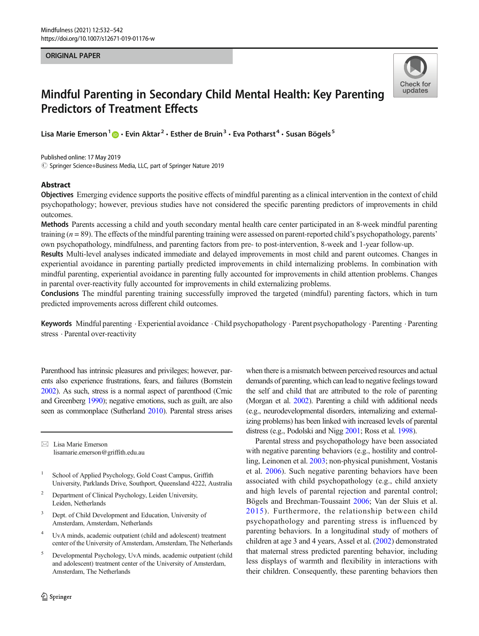#### ORIGINAL PAPER



# Mindful Parenting in Secondary Child Mental Health: Key Parenting Predictors of Treatment Effects

Lisa Marie Emerson<sup>1</sup>  $\bullet \cdot$  Evin Aktar<sup>2</sup>  $\cdot$  Esther de Bruin<sup>3</sup>  $\cdot$  Eva Potharst<sup>4</sup>  $\cdot$  Susan Bögels<sup>5</sup>

 $\circled{c}$  Springer Science+Business Media, LLC, part of Springer Nature 2019 Published online: 17 May 2019

#### Abstract

Objectives Emerging evidence supports the positive effects of mindful parenting as a clinical intervention in the context of child psychopathology; however, previous studies have not considered the specific parenting predictors of improvements in child outcomes.

Methods Parents accessing a child and youth secondary mental health care center participated in an 8-week mindful parenting training  $(n = 89)$ . The effects of the mindful parenting training were assessed on parent-reported child's psychopathology, parents' own psychopathology, mindfulness, and parenting factors from pre- to post-intervention, 8-week and 1-year follow-up.

Results Multi-level analyses indicated immediate and delayed improvements in most child and parent outcomes. Changes in experiential avoidance in parenting partially predicted improvements in child internalizing problems. In combination with mindful parenting, experiential avoidance in parenting fully accounted for improvements in child attention problems. Changes in parental over-reactivity fully accounted for improvements in child externalizing problems.

Conclusions The mindful parenting training successfully improved the targeted (mindful) parenting factors, which in turn predicted improvements across different child outcomes.

Keywords Mindful parenting · Experiential avoidance · Child psychopathology · Parent psychopathology · Parenting · Parenting stress . Parental over-reactivity

Parenthood has intrinsic pleasures and privileges; however, parents also experience frustrations, fears, and failures (Bornstein 2002). As such, stress is a normal aspect of parenthood (Crnic and Greenberg 1990); negative emotions, such as guilt, are also seen as commonplace (Sutherland 2010). Parental stress arises

 $\boxtimes$  Lisa Marie Emerson lisamarie.emerson@griffith.edu.au

- <sup>1</sup> School of Applied Psychology, Gold Coast Campus, Griffith University, Parklands Drive, Southport, Queensland 4222, Australia
- <sup>2</sup> Department of Clinical Psychology, Leiden University, Leiden, Netherlands
- <sup>3</sup> Dept. of Child Development and Education, University of Amsterdam, Amsterdam, Netherlands
- <sup>4</sup> UvA minds, academic outpatient (child and adolescent) treatment center of the University of Amsterdam, Amsterdam, The Netherlands
- <sup>5</sup> Developmental Psychology, UvA minds, academic outpatient (child and adolescent) treatment center of the University of Amsterdam, Amsterdam, The Netherlands

when there is a mismatch between perceived resources and actual demands of parenting, which can lead to negative feelings toward the self and child that are attributed to the role of parenting (Morgan et al. 2002). Parenting a child with additional needs (e.g., neurodevelopmental disorders, internalizing and externalizing problems) has been linked with increased levels of parental distress (e.g., Podolski and Nigg 2001; Ross et al. 1998).

Parental stress and psychopathology have been associated with negative parenting behaviors (e.g., hostility and controlling, Leinonen et al. 2003; non-physical punishment, Vostanis et al. 2006). Such negative parenting behaviors have been associated with child psychopathology (e.g., child anxiety and high levels of parental rejection and parental control; Bӧgels and Brechman-Toussaint 2006; Van der Sluis et al. 2015). Furthermore, the relationship between child psychopathology and parenting stress is influenced by parenting behaviors. In a longitudinal study of mothers of children at age 3 and 4 years, Assel et al. (2002) demonstrated that maternal stress predicted parenting behavior, including less displays of warmth and flexibility in interactions with their children. Consequently, these parenting behaviors then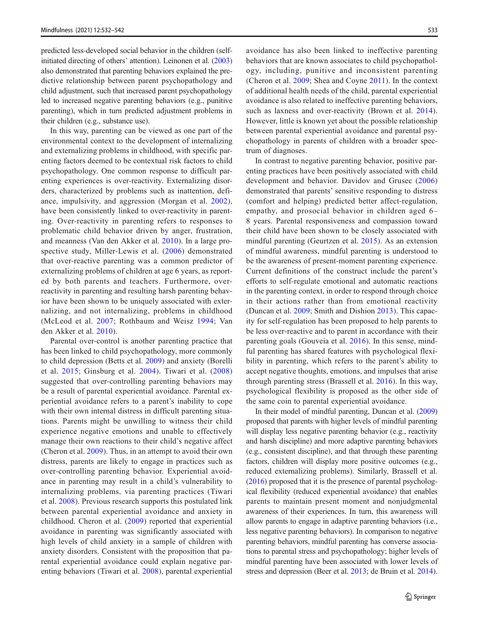predicted less-developed social behavior in the children (selfinitiated directing of others' attention). Leinonen et al. (2003) also demonstrated that parenting behaviors explained the predictive relationship between parent psychopathology and child adjustment, such that increased parent psychopathology led to increased negative parenting behaviors (e.g., punitive parenting), which in turn predicted adjustment problems in their children (e.g., substance use).

In this way, parenting can be viewed as one part of the environmental context to the development of internalizing and externalizing problems in childhood, with specific parenting factors deemed to be contextual risk factors to child psychopathology. One common response to difficult parenting experiences is over-reactivity. Externalizing disorders, characterized by problems such as inattention, defiance, impulsivity, and aggression (Morgan et al. 2002), have been consistently linked to over-reactivity in parenting. Over-reactivity in parenting refers to responses to problematic child behavior driven by anger, frustration, and meanness (Van den Akker et al. 2010). In a large prospective study, Miller-Lewis et al. (2006) demonstrated that over-reactive parenting was a common predictor of externalizing problems of children at age 6 years, as reported by both parents and teachers. Furthermore, overreactivity in parenting and resulting harsh parenting behavior have been shown to be uniquely associated with externalizing, and not internalizing, problems in childhood (McLeod et al. 2007; Rothbaum and Weisz 1994; Van den Akker et al. 2010).

Parental over-control is another parenting practice that has been linked to child psychopathology, more commonly to child depression (Betts et al. 2009) and anxiety (Borelli et al. 2015; Ginsburg et al. 2004). Tiwari et al. (2008) suggested that over-controlling parenting behaviors may be a result of parental experiential avoidance. Parental experiential avoidance refers to a parent's inability to cope with their own internal distress in difficult parenting situations. Parents might be unwilling to witness their child experience negative emotions and unable to effectively manage their own reactions to their child's negative affect (Cheron et al. 2009). Thus, in an attempt to avoid their own distress, parents are likely to engage in practices such as over-controlling parenting behavior. Experiential avoidance in parenting may result in a child's vulnerability to internalizing problems, via parenting practices (Tiwari et al. 2008). Previous research supports this postulated link between parental experiential avoidance and anxiety in childhood. Cheron et al. (2009) reported that experiential avoidance in parenting was significantly associated with high levels of child anxiety in a sample of children with anxiety disorders. Consistent with the proposition that parental experiential avoidance could explain negative parenting behaviors (Tiwari et al. 2008), parental experiential avoidance has also been linked to ineffective parenting behaviors that are known associates to child psychopathology, including, punitive and inconsistent parenting (Cheron et al. 2009; Shea and Coyne 2011). In the context of additional health needs of the child, parental experiential avoidance is also related to ineffective parenting behaviors, such as laxness and over-reactivity (Brown et al. 2014). However, little is known yet about the possible relationship between parental experiential avoidance and parental psychopathology in parents of children with a broader spectrum of diagnoses.

In contrast to negative parenting behavior, positive parenting practices have been positively associated with child development and behavior. Davidov and Grusec (2006) demonstrated that parents' sensitive responding to distress (comfort and helping) predicted better affect-regulation, empathy, and prosocial behavior in children aged 6– 8 years. Parental responsiveness and compassion toward their child have been shown to be closely associated with mindful parenting (Geurtzen et al. 2015). As an extension of mindful awareness, mindful parenting is understood to be the awareness of present-moment parenting experience. Current definitions of the construct include the parent's efforts to self-regulate emotional and automatic reactions in the parenting context, in order to respond through choice in their actions rather than from emotional reactivity (Duncan et al. 2009; Smith and Dishion 2013). This capacity for self-regulation has been proposed to help parents to be less over-reactive and to parent in accordance with their parenting goals (Gouveia et al. 2016). In this sense, mindful parenting has shared features with psychological flexibility in parenting, which refers to the parent's ability to accept negative thoughts, emotions, and impulses that arise through parenting stress (Brassell et al. 2016). In this way, psychological flexibility is proposed as the other side of the same coin to parental experiential avoidance.

In their model of mindful parenting, Duncan et al. (2009) proposed that parents with higher levels of mindful parenting will display less negative parenting behavior (e.g., reactivity and harsh discipline) and more adaptive parenting behaviors (e.g., consistent discipline), and that through these parenting factors, children will display more positive outcomes (e.g., reduced externalizing problems). Similarly, Brassell et al. (2016) proposed that it is the presence of parental psychological flexibility (reduced experiential avoidance) that enables parents to maintain present moment and nonjudgmental awareness of their experiences. In turn, this awareness will allow parents to engage in adaptive parenting behaviors (i.e., less negative parenting behaviors). In comparison to negative parenting behaviors, mindful parenting has converse associations to parental stress and psychopathology; higher levels of mindful parenting have been associated with lower levels of stress and depression (Beer et al. 2013; de Bruin et al. 2014).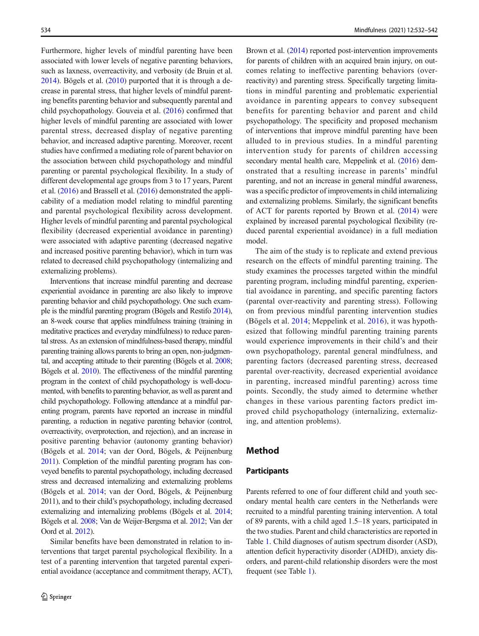Furthermore, higher levels of mindful parenting have been associated with lower levels of negative parenting behaviors, such as laxness, overreactivity, and verbosity (de Bruin et al. 2014). Bögels et al. (2010) purported that it is through a decrease in parental stress, that higher levels of mindful parenting benefits parenting behavior and subsequently parental and child psychopathology. Gouveia et al. (2016) confirmed that higher levels of mindful parenting are associated with lower parental stress, decreased display of negative parenting behavior, and increased adaptive parenting. Moreover, recent studies have confirmed a mediating role of parent behavior on the association between child psychopathology and mindful parenting or parental psychological flexibility. In a study of different developmental age groups from 3 to 17 years, Parent et al. (2016) and Brassell et al. (2016) demonstrated the applicability of a mediation model relating to mindful parenting and parental psychological flexibility across development. Higher levels of mindful parenting and parental psychological flexibility (decreased experiential avoidance in parenting) were associated with adaptive parenting (decreased negative and increased positive parenting behavior), which in turn was related to decreased child psychopathology (internalizing and externalizing problems).

Interventions that increase mindful parenting and decrease experiential avoidance in parenting are also likely to improve parenting behavior and child psychopathology. One such example is the mindful parenting program (Bögels and Restifo 2014), an 8-week course that applies mindfulness training (training in meditative practices and everyday mindfulness) to reduce parental stress. As an extension of mindfulness-based therapy, mindful parenting training allows parents to bring an open, non-judgmental, and accepting attitude to their parenting (Bӧgels et al. 2008; Bögels et al. 2010). The effectiveness of the mindful parenting program in the context of child psychopathology is well-documented, with benefits to parenting behavior, as well as parent and child psychopathology. Following attendance at a mindful parenting program, parents have reported an increase in mindful parenting, a reduction in negative parenting behavior (control, overreactivity, overprotection, and rejection), and an increase in positive parenting behavior (autonomy granting behavior) (Bӧgels et al. 2014; van der Oord, Bӧgels, & Peijnenburg 2011). Completion of the mindful parenting program has conveyed benefits to parental psychopathology, including decreased stress and decreased internalizing and externalizing problems (Bӧgels et al. 2014; van der Oord, Bӧgels, & Peijnenburg 2011), and to their child's psychopathology, including decreased externalizing and internalizing problems (Bӧgels et al. 2014; Bӧgels et al. 2008; Van de Weijer-Bergsma et al. 2012; Van der Oord et al. 2012).

Similar benefits have been demonstrated in relation to interventions that target parental psychological flexibility. In a test of a parenting intervention that targeted parental experiential avoidance (acceptance and commitment therapy, ACT),

Brown et al. (2014) reported post-intervention improvements for parents of children with an acquired brain injury, on outcomes relating to ineffective parenting behaviors (overreactivity) and parenting stress. Specifically targeting limitations in mindful parenting and problematic experiential avoidance in parenting appears to convey subsequent benefits for parenting behavior and parent and child psychopathology. The specificity and proposed mechanism of interventions that improve mindful parenting have been alluded to in previous studies. In a mindful parenting intervention study for parents of children accessing secondary mental health care, Meppelink et al. (2016) demonstrated that a resulting increase in parents' mindful parenting, and not an increase in general mindful awareness, was a specific predictor of improvements in child internalizing and externalizing problems. Similarly, the significant benefits of ACT for parents reported by Brown et al. (2014) were explained by increased parental psychological flexibility (reduced parental experiential avoidance) in a full mediation model.

The aim of the study is to replicate and extend previous research on the effects of mindful parenting training. The study examines the processes targeted within the mindful parenting program, including mindful parenting, experiential avoidance in parenting, and specific parenting factors (parental over-reactivity and parenting stress). Following on from previous mindful parenting intervention studies (Bӧgels et al. 2014; Meppelink et al. 2016), it was hypothesized that following mindful parenting training parents would experience improvements in their child's and their own psychopathology, parental general mindfulness, and parenting factors (decreased parenting stress, decreased parental over-reactivity, decreased experiential avoidance in parenting, increased mindful parenting) across time points. Secondly, the study aimed to determine whether changes in these various parenting factors predict improved child psychopathology (internalizing, externalizing, and attention problems).

#### Method

#### **Participants**

Parents referred to one of four different child and youth secondary mental health care centers in the Netherlands were recruited to a mindful parenting training intervention. A total of 89 parents, with a child aged 1.5–18 years, participated in the two studies. Parent and child characteristics are reported in Table 1. Child diagnoses of autism spectrum disorder (ASD), attention deficit hyperactivity disorder (ADHD), anxiety disorders, and parent-child relationship disorders were the most frequent (see Table 1).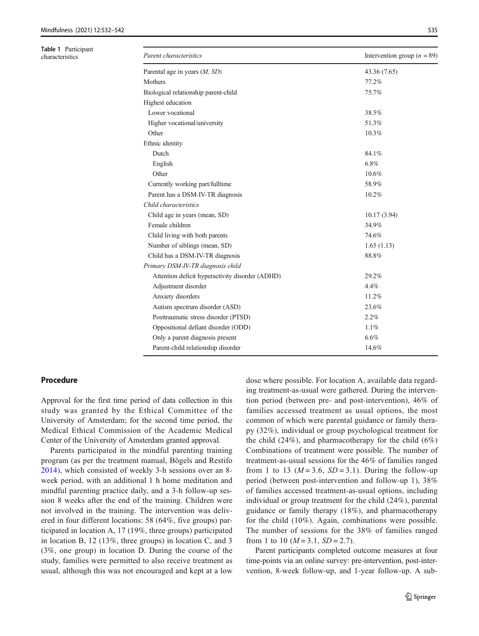Table 1 Participant<br>characteristics

| <b>Table I</b> railicipalli<br>characteristics | Parent characteristics                          | Intervention group ( $n = 89$ ) |
|------------------------------------------------|-------------------------------------------------|---------------------------------|
|                                                | Parental age in years $(M, SD)$                 | 43.36 (7.65)                    |
|                                                | Mothers                                         | 77.2%                           |
|                                                | Biological relationship parent-child            | 75.7%                           |
|                                                | Highest education                               |                                 |
|                                                | Lower vocational                                | 38.5%                           |
|                                                | Higher vocational/university                    | 51.3%                           |
|                                                | Other                                           | 10.3%                           |
|                                                | Ethnic identity                                 |                                 |
|                                                | Dutch                                           | 84.1%                           |
|                                                | English                                         | 6.8%                            |
|                                                | Other                                           | $10.6\%$                        |
|                                                | Currently working part/fulltime                 | 58.9%                           |
|                                                | Parent has a DSM-IV-TR diagnosis                | 10.2%                           |
|                                                | Child characteristics                           |                                 |
|                                                | Child age in years (mean, SD)                   | 10.17(3.94)                     |
|                                                | Female children                                 | 34.9%                           |
|                                                | Child living with both parents                  | 74.6%                           |
|                                                | Number of siblings (mean, SD)                   | 1.65(1.13)                      |
|                                                | Child has a DSM-IV-TR diagnosis                 | $88.8\%$                        |
|                                                | Primary DSM-IV-TR diagnosis child               |                                 |
|                                                | Attention deficit hyperactivity disorder (ADHD) | 29.2%                           |
|                                                | Adjustment disorder                             | 4.4%                            |
|                                                | Anxiety disorders                               | 11.2%                           |
|                                                | Autism spectrum disorder (ASD)                  | 23.6%                           |
|                                                | Posttraumatic stress disorder (PTSD)            | 2.2%                            |
|                                                | Oppositional defiant disorder (ODD)             | 1.1%                            |
|                                                | Only a parent diagnosis present                 | 6.6%                            |
|                                                | Parent-child relationship disorder              | 14.6%                           |

#### Procedure

Approval for the first time period of data collection in this study was granted by the Ethical Committee of the University of Amsterdam; for the second time period, the Medical Ethical Commission of the Academic Medical Center of the University of Amsterdam granted approval.

Parents participated in the mindful parenting training program (as per the treatment manual, Bögels and Restifo 2014), which consisted of weekly 3-h sessions over an 8 week period, with an additional 1 h home meditation and mindful parenting practice daily, and a 3-h follow-up session 8 weeks after the end of the training. Children were not involved in the training. The intervention was delivered in four different locations: 58 (64%, five groups) participated in location A, 17 (19%, three groups) participated in location B, 12 (13%, three groups) in location C, and 3 (3%, one group) in location D. During the course of the study, families were permitted to also receive treatment as usual, although this was not encouraged and kept at a low dose where possible. For location A, available data regarding treatment-as-usual were gathered. During the intervention period (between pre- and post-intervention), 46% of families accessed treatment as usual options, the most common of which were parental guidance or family therapy (32%), individual or group psychological treatment for the child  $(24\%)$ , and pharmacotherapy for the child  $(6\%)$ Combinations of treatment were possible. The number of treatment-as-usual sessions for the 46% of families ranged from 1 to 13 ( $M = 3.6$ ,  $SD = 3.1$ ). During the follow-up period (between post-intervention and follow-up 1), 38% of families accessed treatment-as-usual options, including individual or group treatment for the child (24%), parental guidance or family therapy (18%), and pharmacotherapy for the child (10%). Again, combinations were possible. The number of sessions for the 38% of families ranged from 1 to 10  $(M = 3.1, SD = 2.7)$ .

Parent participants completed outcome measures at four time-points via an online survey: pre-intervention, post-intervention, 8-week follow-up, and 1-year follow-up. A sub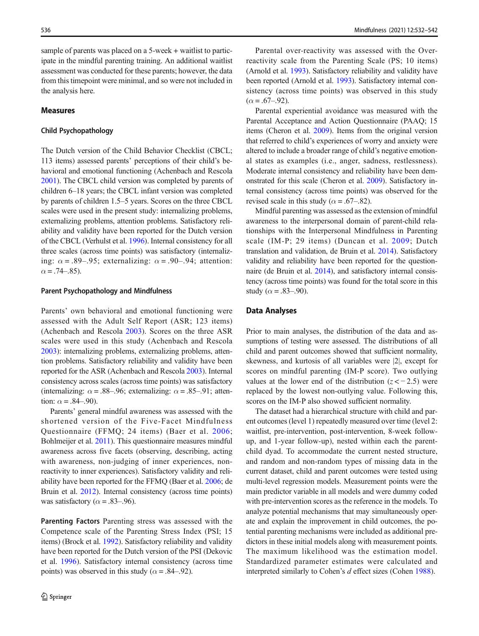sample of parents was placed on a 5-week + waitlist to participate in the mindful parenting training. An additional waitlist assessment was conducted for these parents; however, the data from this timepoint were minimal, and so were not included in the analysis here.

#### Measures

#### Child Psychopathology

The Dutch version of the Child Behavior Checklist (CBCL; 113 items) assessed parents' perceptions of their child's behavioral and emotional functioning (Achenbach and Rescola 2001). The CBCL child version was completed by parents of children 6–18 years; the CBCL infant version was completed by parents of children 1.5–5 years. Scores on the three CBCL scales were used in the present study: internalizing problems, externalizing problems, attention problems. Satisfactory reliability and validity have been reported for the Dutch version of the CBCL (Verhulst et al. 1996). Internal consistency for all three scales (across time points) was satisfactory (internalizing:  $\alpha = .89-.95$ ; externalizing:  $\alpha = .90-.94$ ; attention:  $\alpha = .74 - .85$ ).

#### Parent Psychopathology and Mindfulness

Parents' own behavioral and emotional functioning were assessed with the Adult Self Report (ASR; 123 items) (Achenbach and Rescola 2003). Scores on the three ASR scales were used in this study (Achenbach and Rescola 2003): internalizing problems, externalizing problems, attention problems. Satisfactory reliability and validity have been reported for the ASR (Achenbach and Rescola 2003). Internal consistency across scales (across time points) was satisfactory (internalizing:  $\alpha = .88-.96$ ; externalizing:  $\alpha = .85-.91$ ; attention:  $\alpha = .84-.90$ ).

Parents' general mindful awareness was assessed with the shortened version of the Five-Facet Mindfulness Questionnaire (FFMQ; 24 items) (Baer et al. 2006; Bohlmeijer et al. 2011). This questionnaire measures mindful awareness across five facets (observing, describing, acting with awareness, non-judging of inner experiences, nonreactivity to inner experiences). Satisfactory validity and reliability have been reported for the FFMQ (Baer et al. 2006; de Bruin et al. 2012). Internal consistency (across time points) was satisfactory ( $\alpha$  = .83–.96).

Parenting Factors Parenting stress was assessed with the Competence scale of the Parenting Stress Index (PSI; 15 items) (Brock et al. 1992). Satisfactory reliability and validity have been reported for the Dutch version of the PSI (Dekovic et al. 1996). Satisfactory internal consistency (across time points) was observed in this study ( $\alpha$  = .84–.92).

Parental over-reactivity was assessed with the Overreactivity scale from the Parenting Scale (PS; 10 items) (Arnold et al. 1993). Satisfactory reliability and validity have been reported (Arnold et al. 1993). Satisfactory internal consistency (across time points) was observed in this study  $(\alpha = .67 - .92)$ .

Parental experiential avoidance was measured with the Parental Acceptance and Action Questionnaire (PAAQ; 15 items (Cheron et al. 2009). Items from the original version that referred to child's experiences of worry and anxiety were altered to include a broader range of child's negative emotional states as examples (i.e., anger, sadness, restlessness). Moderate internal consistency and reliability have been demonstrated for this scale (Cheron et al. 2009). Satisfactory internal consistency (across time points) was observed for the revised scale in this study ( $\alpha$  = .67–.82).

Mindful parenting was assessed as the extension of mindful awareness to the interpersonal domain of parent-child relationships with the Interpersonal Mindfulness in Parenting scale (IM-P; 29 items) (Duncan et al. 2009; Dutch translation and validation, de Bruin et al. 2014). Satisfactory validity and reliability have been reported for the questionnaire (de Bruin et al. 2014), and satisfactory internal consistency (across time points) was found for the total score in this study ( $\alpha = .83-.90$ ).

#### Data Analyses

Prior to main analyses, the distribution of the data and assumptions of testing were assessed. The distributions of all child and parent outcomes showed that sufficient normality, skewness, and kurtosis of all variables were |2|, except for scores on mindful parenting (IM-P score). Two outlying values at the lower end of the distribution  $(z < -2.5)$  were replaced by the lowest non-outlying value. Following this, scores on the IM-P also showed sufficient normality.

The dataset had a hierarchical structure with child and parent outcomes (level 1) repeatedly measured over time (level 2: waitlist, pre-intervention, post-intervention, 8-week followup, and 1-year follow-up), nested within each the parentchild dyad. To accommodate the current nested structure, and random and non-random types of missing data in the current dataset, child and parent outcomes were tested using multi-level regression models. Measurement points were the main predictor variable in all models and were dummy coded with pre-intervention scores as the reference in the models. To analyze potential mechanisms that may simultaneously operate and explain the improvement in child outcomes, the potential parenting mechanisms were included as additional predictors in these initial models along with measurement points. The maximum likelihood was the estimation model. Standardized parameter estimates were calculated and interpreted similarly to Cohen's d effect sizes (Cohen 1988).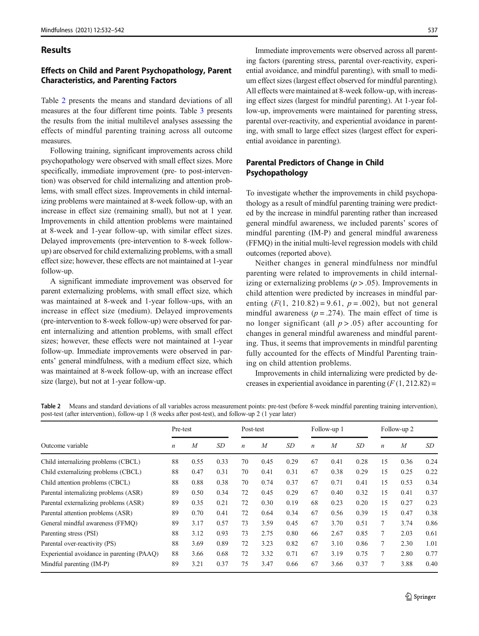#### **Results**

## Effects on Child and Parent Psychopathology, Parent Characteristics, and Parenting Factors

Table 2 presents the means and standard deviations of all measures at the four different time points. Table 3 presents the results from the initial multilevel analyses assessing the effects of mindful parenting training across all outcome measures.

Following training, significant improvements across child psychopathology were observed with small effect sizes. More specifically, immediate improvement (pre- to post-intervention) was observed for child internalizing and attention problems, with small effect sizes. Improvements in child internalizing problems were maintained at 8-week follow-up, with an increase in effect size (remaining small), but not at 1 year. Improvements in child attention problems were maintained at 8-week and 1-year follow-up, with similar effect sizes. Delayed improvements (pre-intervention to 8-week followup) are observed for child externalizing problems, with a small effect size; however, these effects are not maintained at 1-year follow-up.

A significant immediate improvement was observed for parent externalizing problems, with small effect size, which was maintained at 8-week and 1-year follow-ups, with an increase in effect size (medium). Delayed improvements (pre-intervention to 8-week follow-up) were observed for parent internalizing and attention problems, with small effect sizes; however, these effects were not maintained at 1-year follow-up. Immediate improvements were observed in parents' general mindfulness, with a medium effect size, which was maintained at 8-week follow-up, with an increase effect size (large), but not at 1-year follow-up.

Immediate improvements were observed across all parenting factors (parenting stress, parental over-reactivity, experiential avoidance, and mindful parenting), with small to medium effect sizes (largest effect observed for mindful parenting). All effects were maintained at 8-week follow-up, with increasing effect sizes (largest for mindful parenting). At 1-year follow-up, improvements were maintained for parenting stress, parental over-reactivity, and experiential avoidance in parenting, with small to large effect sizes (largest effect for experiential avoidance in parenting).

## Parental Predictors of Change in Child Psychopathology

To investigate whether the improvements in child psychopathology as a result of mindful parenting training were predicted by the increase in mindful parenting rather than increased general mindful awareness, we included parents' scores of mindful parenting (IM-P) and general mindful awareness (FFMQ) in the initial multi-level regression models with child outcomes (reported above).

Neither changes in general mindfulness nor mindful parenting were related to improvements in child internalizing or externalizing problems ( $p > .05$ ). Improvements in child attention were predicted by increases in mindful parenting  $(F(1, 210.82) = 9.61, p = .002)$ , but not general mindful awareness ( $p = .274$ ). The main effect of time is no longer significant (all  $p > .05$ ) after accounting for changes in general mindful awareness and mindful parenting. Thus, it seems that improvements in mindful parenting fully accounted for the effects of Mindful Parenting training on child attention problems.

Improvements in child internalizing were predicted by decreases in experiential avoidance in parenting  $(F(1, 212.82))$  =

Table 2 Means and standard deviations of all variables across measurement points: pre-test (before 8-week mindful parenting training intervention), post-test (after intervention), follow-up 1 (8 weeks after post-test), and follow-up 2 (1 year later)

|                                            | Pre-test         |      |      | Post-test        |                  |      |                  | Follow-up 1 |      |                  | Follow-up 2 |      |
|--------------------------------------------|------------------|------|------|------------------|------------------|------|------------------|-------------|------|------------------|-------------|------|
| Outcome variable                           | $\boldsymbol{n}$ | M    | SD   | $\boldsymbol{n}$ | $\boldsymbol{M}$ | SD   | $\boldsymbol{n}$ | M           | SD   | $\boldsymbol{n}$ | M           | SD   |
| Child internalizing problems (CBCL)        | 88               | 0.55 | 0.33 | 70               | 0.45             | 0.29 | 67               | 0.41        | 0.28 | 15               | 0.36        | 0.24 |
| Child externalizing problems (CBCL)        | 88               | 0.47 | 0.31 | 70               | 0.41             | 0.31 | 67               | 0.38        | 0.29 | 15               | 0.25        | 0.22 |
| Child attention problems (CBCL)            | 88               | 0.88 | 0.38 | 70               | 0.74             | 0.37 | 67               | 0.71        | 0.41 | 15               | 0.53        | 0.34 |
| Parental internalizing problems (ASR)      | 89               | 0.50 | 0.34 | 72               | 0.45             | 0.29 | 67               | 0.40        | 0.32 | 15               | 0.41        | 0.37 |
| Parental externalizing problems (ASR)      | 89               | 0.35 | 0.21 | 72               | 0.30             | 0.19 | 68               | 0.23        | 0.20 | 15               | 0.27        | 0.23 |
| Parental attention problems (ASR)          | 89               | 0.70 | 0.41 | 72               | 0.64             | 0.34 | 67               | 0.56        | 0.39 | 15               | 0.47        | 0.38 |
| General mindful awareness (FFMO)           | 89               | 3.17 | 0.57 | 73               | 3.59             | 0.45 | 67               | 3.70        | 0.51 | 7                | 3.74        | 0.86 |
| Parenting stress (PSI)                     | 88               | 3.12 | 0.93 | 73               | 2.75             | 0.80 | 66               | 2.67        | 0.85 | 7                | 2.03        | 0.61 |
| Parental over-reactivity (PS)              | 88               | 3.69 | 0.89 | 72               | 3.23             | 0.82 | 67               | 3.10        | 0.86 | $\tau$           | 2.30        | 1.01 |
| Experiential avoidance in parenting (PAAQ) | 88               | 3.66 | 0.68 | 72               | 3.32             | 0.71 | 67               | 3.19        | 0.75 | 7                | 2.80        | 0.77 |
| Mindful parenting (IM-P)                   | 89               | 3.21 | 0.37 | 75               | 3.47             | 0.66 | 67               | 3.66        | 0.37 | 7                | 3.88        | 0.40 |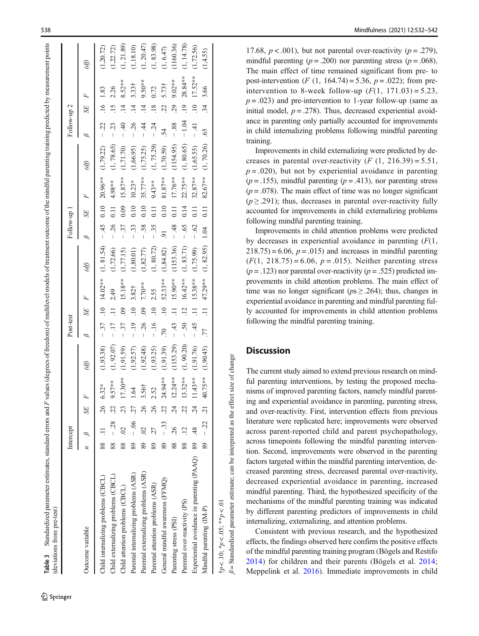| (deviations from pre-test)                              |    |           |                 |                |            |                       |                     |                   |            |                                 |                  |            |            |                              |                |                   |            |
|---------------------------------------------------------|----|-----------|-----------------|----------------|------------|-----------------------|---------------------|-------------------|------------|---------------------------------|------------------|------------|------------|------------------------------|----------------|-------------------|------------|
|                                                         |    | Intercept |                 |                |            | Post-test             |                     |                   |            | Follow-up 1                     |                  |            |            | Follow-up 2                  |                |                   |            |
| Outcome variable                                        |    |           | SE              |                | (df)       | ∞                     | SE                  |                   | (df)       |                                 | SE               |            | W          | 62                           | SE             | Ŀ                 | (df)       |
| Child internalizing problems (CBCL)                     |    | 88 11     | $\sim$          | $6.32*$        | (1,93.38)  |                       |                     | $-37$ .10 14.02** | (1, 81.54) | $-45$                           | 0.10             | $20.96***$ | (1,79.22)  | $-22$                        |                | $.16$ 1.83        | (1,20.72)  |
| Child externalizing problems (CBCL)                     |    | $88 - 28$ | 22              | $9.57***$      | (1, 92.07) | $-17$                 |                     | 2.49              | (1, 72.66) | $-26$                           |                  | 4.98**     | (1, 78.65) | $-23$                        | 15             | 2.26              | 1,22.72)   |
| Child attention problems (CBCL)                         | 88 | $\odot$   | 23              | $17.30**$      | (1,91.59)  | $-37$                 | $\ddot{\rm s}$      | 15.18**           | (1,77.15)  | 37<br>$\overline{1}$            | 0.09             | $15.87***$ | (1, 71.70) | $\ddot{a}$<br>$\overline{1}$ |                | $8.52***$         | 1, 21.89)  |
| Parental internalizing problems (ASR)                   | 89 | $-0.6$    | 27              | $\overline{3}$ | (1,92.57)  | $-19$                 |                     | 3.82 <sup>†</sup> | (1,80.01)  | 33<br>$\overline{1}$            |                  | $10.23*$   | (1,66.95)  | 95.                          |                | 3.33 <sup>†</sup> | (1, 18.10) |
| Parental externalizing problems (ASR)                   | 89 | S         | 26              | 3.56†          | (1,92.48)  | $-26$                 | $\ddot{\mathrm{6}}$ | 7.70**            | 1,82.77    | 58<br>$\overline{1}$            | 0.10             | $35.77***$ | (1,75.25)  | $-44$                        | $\vec{4}$      | $9.50**$          | (1, 20.47) |
| Parental attention problems (ASR)                       | 89 | 27        | 26              | 2.52           | (1,93.25)  | $-16$                 | $\Xi$               | 2.55              | (1, 80.72) | $-35$                           | $\Xi$            | $9.43***$  | (1, 75.29) | $-24$                        | $\frac{8}{18}$ | 0.72              | (1, 83.98) |
| General mindful awareness (FFMQ)                        | 89 | $-33$     | 22              | 24.94 **       | (1,91.39)  | $\tilde{\mathcal{L}}$ | $\Xi$               | 52.33**           | (1, 84.82) | 5.                              | 0.10             | $81.87***$ | (1,70.59)  | $\dot{54}$                   |                | $5.73+$           | (1, 6.47)  |
| Parenting stress (PSI)                                  | 88 | 26        | $\overline{24}$ | $12.24***$     | (1153.29)  | $-43$                 | $\exists$           | 15.90**           | (1153.36)  | $-48$                           | $\Xi$            | 17.76**    | (1154.95)  | $-88$ .                      | 29             | 9.02**            | (1160.36)  |
| Parental over-reactivity (PS)                           | 88 |           | 22              | $13.32***$     | (1, 90.20) | $-50$                 | $\ddot{5}$          | $16.42***$        | (1, 83.71) | 65<br>$\overline{\phantom{a}}$  | 0.14             | 22.75**    | (1, 80.65) | $-1.04$                      | $\overline{.}$ | 28.84 **          | (1, 14.78) |
| Experiential avoidance in parenting (PAAQ)              | 89 |           | $\ddot{5}$      | $11.43**$      | (1,91.76)  | $-45$                 |                     | $15.38**$         | (1,75.99)  | $\mathcal{O}$<br>$\overline{1}$ |                  | $32.87***$ | (1,65.55)  | $-41$                        |                | $17.52***$        | (1, 72.56) |
| Mindful parenting (IM-P)                                |    | $89 - 22$ |                 | 40.75**        | (1,90.45)  | .77                   |                     | 47.29**           | (1, 82.95) | 1.04                            | $\overline{0}$ . | 82.67**    | (1, 70.26) | $\widetilde{5}$              | 34             | 3.66              | 1,4.55     |
| $\dagger p < 10$ ; $\ast p < 0.05$ ; $\ast \ast p < 01$ |    |           |                 |                |            |                       |                     |                   |            |                                 |                  |            |            |                              |                |                   |            |

Table 3

17.68,  $p < .001$ ), but not parental over-reactivity ( $p = .279$ ), mindful parenting ( $p = .200$ ) nor parenting stress ( $p = .068$ ). The main effect of time remained significant from pre- to post-intervention (*F* (1, 164.74) = 5.36,  $p = .022$ ); from preintervention to 8-week follow-up  $(F(1, 171.03) = 5.23$ ,  $p = .023$ ) and pre-intervention to 1-year follow-up (same as initial model,  $p = .278$ ). Thus, decreased experiential avoidance in parenting only partially accounted for improvements in child internalizing problems following mindful parenting training.

Improvements in child externalizing were predicted by decreases in parental over-reactivity  $(F (1, 216.39) = 5.51,$  $p = .020$ , but not by experiential avoidance in parenting  $(p = .155)$ , mindful parenting  $(p = .413)$ , nor parenting stress  $(p = .078)$ . The main effect of time was no longer significant  $(p \ge 0.291)$ ; thus, decreases in parental over-reactivity fully accounted for improvements in child externalizing problems following mindful parenting training.

Improvements in child attention problems were predicted by decreases in experiential avoidance in parenting  $(F(1,$  $218.75 = 6.06$ ,  $p = .015$ ) and increases in mindful parenting  $(F(1, 218.75) = 6.06, p = .015)$ . Neither parenting stress  $(p = .123)$  nor parental over-reactivity  $(p = .525)$  predicted improvements in child attention problems. The main effect of time was no longer significant ( $ps \ge 0.264$ ); thus, changes in experiential avoidance in parenting and mindful parenting fully accounted for improvements in child attention problems following the mindful parenting training.

# **Discussion**

 $\beta$  = Standardized parameter estimate; can be interpreted as the effect size of change

Standardized parameter estimate; can be interpreted as the effect size of change

The current study aimed to extend previous research on mindful parenting interventions, by testing the proposed mechanisms of improved parenting factors, namely mindful parenting and experiential avoidance in parenting, parenting stress, and over-reactivity. First, intervention effects from previous literature were replicated here; improvements were observed across parent-reported child and parent psychopathology, across timepoints following the mindful parenting intervention. Second, improvements were observed in the parenting factors targeted within the mindful parenting intervention, decreased parenting stress, decreased parental over-reactivity, decreased experiential avoidance in parenting, increased mindful parenting. Third, the hypothesized specificity of the mechanisms of the mindful parenting training was indicated by different parenting predictors of improvements in child internalizing, externalizing, and attention problems.

Consistent with previous research, and the hypothesized effects, the findings observed here confirm the positive effects of the mindful parenting training program (Bögels and Restifo 2014) for children and their parents (B ӧgels et al. 2014 ; Meppelink et al. 2016). Immediate improvements in child

Standardized parameter estimates, standard errors and F values (degrees of freedom) of multilevel models of treatment outcome of the mindful parenting training predicted by measurement points

Standardized parameter estimates, standard errors and F values (degrees of freedom) of multilevel models of treatment outcome of the mindful parenting training predicted by measurement points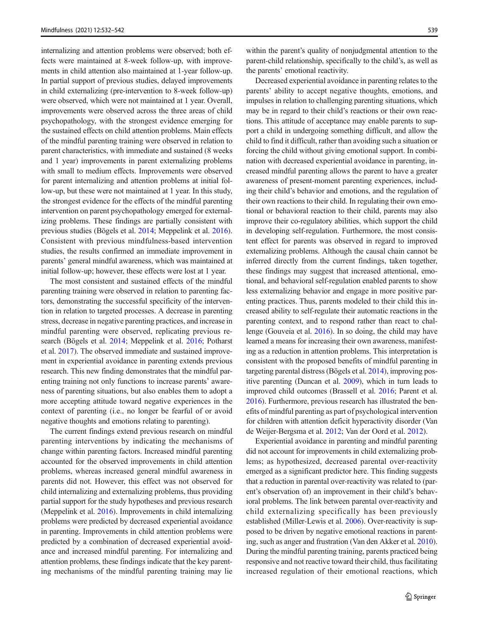internalizing and attention problems were observed; both effects were maintained at 8-week follow-up, with improvements in child attention also maintained at 1-year follow-up. In partial support of previous studies, delayed improvements in child externalizing (pre-intervention to 8-week follow-up) were observed, which were not maintained at 1 year. Overall, improvements were observed across the three areas of child psychopathology, with the strongest evidence emerging for the sustained effects on child attention problems. Main effects of the mindful parenting training were observed in relation to parent characteristics, with immediate and sustained (8 weeks and 1 year) improvements in parent externalizing problems with small to medium effects. Improvements were observed for parent internalizing and attention problems at initial follow-up, but these were not maintained at 1 year. In this study, the strongest evidence for the effects of the mindful parenting intervention on parent psychopathology emerged for externalizing problems. These findings are partially consistent with previous studies (Bӧgels et al. 2014; Meppelink et al. 2016). Consistent with previous mindfulness-based intervention studies, the results confirmed an immediate improvement in parents' general mindful awareness, which was maintained at initial follow-up; however, these effects were lost at 1 year.

The most consistent and sustained effects of the mindful parenting training were observed in relation to parenting factors, demonstrating the successful specificity of the intervention in relation to targeted processes. A decrease in parenting stress, decrease in negative parenting practices, and increase in mindful parenting were observed, replicating previous research (Bögels et al. 2014; Meppelink et al. 2016; Potharst et al. 2017). The observed immediate and sustained improvement in experiential avoidance in parenting extends previous research. This new finding demonstrates that the mindful parenting training not only functions to increase parents' awareness of parenting situations, but also enables them to adopt a more accepting attitude toward negative experiences in the context of parenting (i.e., no longer be fearful of or avoid negative thoughts and emotions relating to parenting).

The current findings extend previous research on mindful parenting interventions by indicating the mechanisms of change within parenting factors. Increased mindful parenting accounted for the observed improvements in child attention problems, whereas increased general mindful awareness in parents did not. However, this effect was not observed for child internalizing and externalizing problems, thus providing partial support for the study hypotheses and previous research (Meppelink et al. 2016). Improvements in child internalizing problems were predicted by decreased experiential avoidance in parenting. Improvements in child attention problems were predicted by a combination of decreased experiential avoidance and increased mindful parenting. For internalizing and attention problems, these findings indicate that the key parenting mechanisms of the mindful parenting training may lie

within the parent's quality of nonjudgmental attention to the parent-child relationship, specifically to the child's, as well as the parents' emotional reactivity.

Decreased experiential avoidance in parenting relates to the parents' ability to accept negative thoughts, emotions, and impulses in relation to challenging parenting situations, which may be in regard to their child's reactions or their own reactions. This attitude of acceptance may enable parents to support a child in undergoing something difficult, and allow the child to find it difficult, rather than avoiding such a situation or forcing the child without giving emotional support. In combination with decreased experiential avoidance in parenting, increased mindful parenting allows the parent to have a greater awareness of present-moment parenting experiences, including their child's behavior and emotions, and the regulation of their own reactions to their child. In regulating their own emotional or behavioral reaction to their child, parents may also improve their co-regulatory abilities, which support the child in developing self-regulation. Furthermore, the most consistent effect for parents was observed in regard to improved externalizing problems. Although the causal chain cannot be inferred directly from the current findings, taken together, these findings may suggest that increased attentional, emotional, and behavioral self-regulation enabled parents to show less externalizing behavior and engage in more positive parenting practices. Thus, parents modeled to their child this increased ability to self-regulate their automatic reactions in the parenting context, and to respond rather than react to challenge (Gouveia et al. 2016). In so doing, the child may have learned a means for increasing their own awareness, manifesting as a reduction in attention problems. This interpretation is consistent with the proposed benefits of mindful parenting in targeting parental distress (Bӧgels et al. 2014), improving positive parenting (Duncan et al. 2009), which in turn leads to improved child outcomes (Brassell et al. 2016; Parent et al. 2016). Furthermore, previous research has illustrated the benefits of mindful parenting as part of psychological intervention for children with attention deficit hyperactivity disorder (Van de Weijer-Bergsma et al. 2012; Van der Oord et al. 2012).

Experiential avoidance in parenting and mindful parenting did not account for improvements in child externalizing problems; as hypothesized, decreased parental over-reactivity emerged as a significant predictor here. This finding suggests that a reduction in parental over-reactivity was related to (parent's observation of) an improvement in their child's behavioral problems. The link between parental over-reactivity and child externalizing specifically has been previously established (Miller-Lewis et al. 2006). Over-reactivity is supposed to be driven by negative emotional reactions in parenting, such as anger and frustration (Van den Akker et al. 2010). During the mindful parenting training, parents practiced being responsive and not reactive toward their child, thus facilitating increased regulation of their emotional reactions, which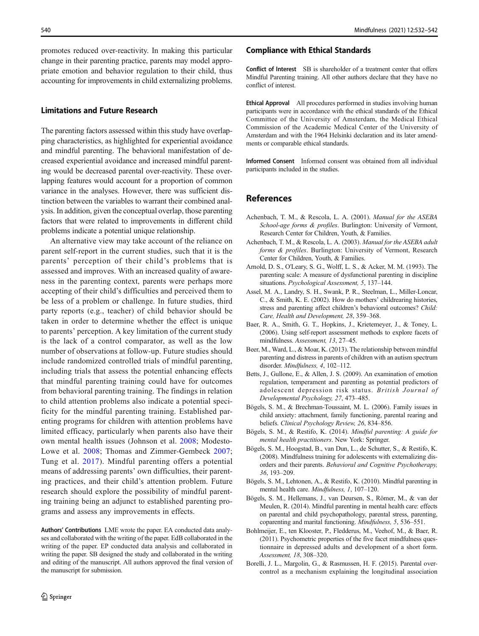promotes reduced over-reactivity. In making this particular change in their parenting practice, parents may model appropriate emotion and behavior regulation to their child, thus accounting for improvements in child externalizing problems.

#### Limitations and Future Research

The parenting factors assessed within this study have overlapping characteristics, as highlighted for experiential avoidance and mindful parenting. The behavioral manifestation of decreased experiential avoidance and increased mindful parenting would be decreased parental over-reactivity. These overlapping features would account for a proportion of common variance in the analyses. However, there was sufficient distinction between the variables to warrant their combined analysis. In addition, given the conceptual overlap, those parenting factors that were related to improvements in different child problems indicate a potential unique relationship.

An alternative view may take account of the reliance on parent self-report in the current studies, such that it is the parents' perception of their child's problems that is assessed and improves. With an increased quality of awareness in the parenting context, parents were perhaps more accepting of their child's difficulties and perceived them to be less of a problem or challenge. In future studies, third party reports (e.g., teacher) of child behavior should be taken in order to determine whether the effect is unique to parents' perception. A key limitation of the current study is the lack of a control comparator, as well as the low number of observations at follow-up. Future studies should include randomized controlled trials of mindful parenting, including trials that assess the potential enhancing effects that mindful parenting training could have for outcomes from behavioral parenting training. The findings in relation to child attention problems also indicate a potential specificity for the mindful parenting training. Established parenting programs for children with attention problems have limited efficacy, particularly when parents also have their own mental health issues (Johnson et al. 2008; Modesto-Lowe et al. 2008; Thomas and Zimmer-Gembeck 2007; Tung et al. 2017). Mindful parenting offers a potential means of addressing parents' own difficulties, their parenting practices, and their child's attention problem. Future research should explore the possibility of mindful parenting training being an adjunct to established parenting programs and assess any improvements in effects.

Authors' Contributions LME wrote the paper. EA conducted data analyses and collaborated with the writing of the paper. EdB collaborated in the writing of the paper. EP conducted data analysis and collaborated in writing the paper. SB designed the study and collaborated in the writing and editing of the manuscript. All authors approved the final version of the manuscript for submission.

#### Compliance with Ethical Standards

Conflict of Interest SB is shareholder of a treatment center that offers Mindful Parenting training. All other authors declare that they have no conflict of interest.

Ethical Approval All procedures performed in studies involving human participants were in accordance with the ethical standards of the Ethical Committee of the University of Amsterdam, the Medical Ethical Commission of the Academic Medical Center of the University of Amsterdam and with the 1964 Helsinki declaration and its later amendments or comparable ethical standards.

Informed Consent Informed consent was obtained from all individual participants included in the studies.

### References

- Achenbach, T. M., & Rescola, L. A. (2001). Manual for the ASEBA School-age forms & profiles. Burlington: University of Vermont, Research Center for Children, Youth, & Families.
- Achenbach, T. M., & Rescola, L. A. (2003). Manual for the ASEBA adult forms & profiles. Burlington: University of Vermont, Research Center for Children, Youth, & Families.
- Arnold, D. S., O'Leary, S. G., Wolff, L. S., & Acker, M. M. (1993). The parenting scale: A measure of dysfunctional parenting in discipline situations. Psychological Assessment, 5, 137–144.
- Assel, M. A., Landry, S. H., Swank, P. R., Steelman, L., Miller-Loncar, C., & Smith, K. E. (2002). How do mothers' childrearing histories, stress and parenting affect children's behavioral outcomes? Child: Care, Health and Development, 28, 359–368.
- Baer, R. A., Smith, G. T., Hopkins, J., Krietemeyer, J., & Toney, L. (2006). Using self-report assessment methods to explore facets of mindfulness. Assessment, 13, 27–45.
- Beer, M., Ward, L., & Moar, K. (2013). The relationship between mindful parenting and distress in parents of children with an autism spectrum disorder. Mindfulness, 4, 102–112.
- Betts, J., Gullone, E., & Allen, J. S. (2009). An examination of emotion regulation, temperament and parenting as potential predictors of adolescent depression risk status. British Journal of Developmental Psychology, 27, 473–485.
- Bӧgels, S. M., & Brechman-Toussaint, M. L. (2006). Family issues in child anxiety: attachment, family functioning, parental rearing and beliefs. Clinical Psychology Review, 26, 834–856.
- Bögels, S. M., & Restifo, K. (2014). Mindful parenting: A guide for mental health practitioners. New York: Springer.
- Bӧgels, S. M., Hoogstad, B., van Dun, L., de Schutter, S., & Restifo, K. (2008). Mindfulness training for adolescents with externalizing disorders and their parents. Behavioral and Cognitive Psychotherapy, 36, 193–209.
- Bögels, S. M., Lehtonen, A., & Restifo, K. (2010). Mindful parenting in mental health care. Mindfulness, 1, 107–120.
- Bӧgels, S. M., Hellemans, J., van Deursen, S., Rӧmer, M., & van der Meulen, R. (2014). Mindful parenting in mental health care: effects on parental and child psychopathology, parental stress, parenting, coparenting and marital functioning. Mindfulness, 5, 536–551.
- Bohlmeijer, E., ten Klooster, P., Fledderus, M., Veehof, M., & Baer, R. (2011). Psychometric properties of the five facet mindfulness questionnaire in depressed adults and development of a short form. Assessment, 18, 308–320.
- Borelli, J. L., Margolin, G., & Rasmussen, H. F. (2015). Parental overcontrol as a mechanism explaining the longitudinal association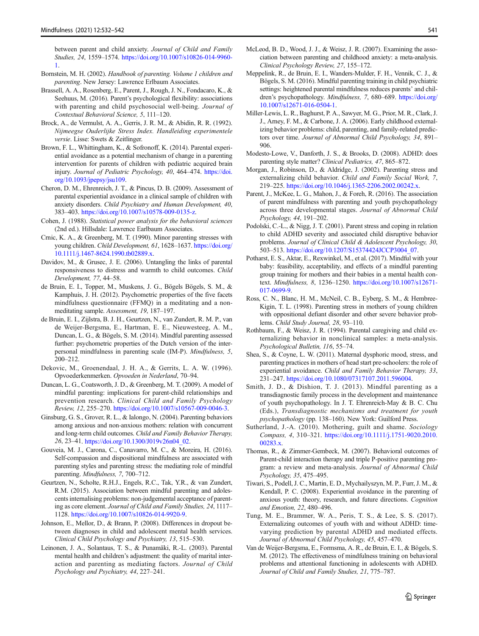between parent and child anxiety. Journal of Child and Family Studies, 24, 1559–1574. https://doi.org/10.1007/s10826-014-9960- 1.

- Bornstein, M. H. (2002). Handbook of parenting. Volume 1 children and parenting. New Jersey: Lawrence Erlbaum Associates.
- Brassell, A. A., Rosenberg, E., Parent, J., Rough, J. N., Fondacaro, K., & Seehuus, M. (2016). Parent's psychological flexibility: associations with parenting and child psychosocial well-being. Journal of Contextual Behavioral Science, 5, 111–120.
- Brock, A., de Vermulst, A. A., Gerris, J. R. M., & Abidin, R. R. (1992). Nijmeegse Ouderlijke Stress Index. Handleiding experimentele versie. Lisse: Swets & Zeitlinger.
- Brown, F. L., Whittingham, K., & Sofronoff, K. (2014). Parental experiential avoidance as a potential mechanism of change in a parenting intervention for parents of children with pediatric acquired brain injury. Journal of Pediatric Psychology, 40, 464–474. https://doi. org/10.1093/jpepsy/jsu109.
- Cheron, D. M., Ehrenreich, J. T., & Pincus, D. B. (2009). Assessment of parental experiential avoidance in a clinical sample of children with anxiety disorders. Child Psychiatry and Human Development, 40, 383–403. https://doi.org/10.1007/s10578-009-0135-z.
- Cohen, J. (1988). Statistical power analysis for the behavioral sciences (2nd ed.). Hillsdale: Lawrence Earlbaum Associates.
- Crnic, K. A., & Greenberg, M. T. (1990). Minor parenting stresses with young children. Child Development, 61, 1628–1637. https://doi.org/ 10.1111/j.1467-8624.1990.tb02889.x.
- Davidov, M., & Grusec, J. E. (2006). Untangling the links of parental responsiveness to distress and warmth to child outcomes. Child Development, 77, 44–58.
- de Bruin, E. I., Topper, M., Muskens, J. G., Bögels Bögels, S. M., & Kamphuis, J. H. (2012). Psychometric properties of the five facets mindfulness questionnaire (FFMQ) in a meditating and a nonmeditating sample. Assessment, 19, 187–197.
- de Bruin, E. I., Zijlstra, B. J. H., Geurtzen, N., van Zundert, R. M. P., van de Weijer-Bergsma, E., Hartman, E. E., Nieuwesteeg, A. M., Duncan, L. G., & Bögels, S. M. (2014). Mindful parenting assessed further: psychometric properties of the Dutch version of the interpersonal mindfulness in parenting scale (IM-P). Mindfulness, 5, 200–212.
- Dekovic, M., Groenendaal, J. H. A., & Gerrits, L. A. W. (1996). Opvoederkenmerken. Opvoeden in Nederland, 70–94.
- Duncan, L. G., Coatsworth, J. D., & Greenberg, M. T. (2009). A model of mindful parenting: implications for parent-child relationships and prevention research. Clinical Child and Family Psychology Review, 12, 255–270. https://doi.org/10.1007/s10567-009-0046-3.
- Ginsburg, G. S., Grover, R. L., & Ialongo, N. (2004). Parenting behaviors among anxious and non-anxious mothers: relation with concurrent and long-term child outcomes. Child and Family Behavior Therapy, 26, 23–41. https://doi.org/10.1300/J019v26n04\_02.
- Gouveia, M. J., Carona, C., Canavarro, M. C., & Moreira, H. (2016). Self-compassion and dispositional mindfulness are associated with parenting styles and parenting stress: the mediating role of mindful parenting. Mindfulness, 7, 700-712.
- Geurtzen, N., Scholte, R.H.J., Engels, R.C., Tak, Y.R., & van Zundert, R.M. (2015). Association between mindful parenting and adolescents internalising problems: non-judgemental acceptance of parenting as core element. Journal of Child and Family Studies, 24, 1117– 1128. https://doi.org/10.1007/s10826-014-9920-9.
- Johnson, E., Mellor, D., & Brann, P. (2008). Differences in dropout between diagnoses in child and adolescent mental health services. Clinical Child Psychology and Psychiatry, 13, 515–530.
- Leinonen, J. A., Solantaus, T. S., & Punamäki, R.-L. (2003). Parental mental health and children's adjustment: the quality of marital interaction and parenting as mediating factors. Journal of Child Psychology and Psychiatry, 44, 227–241.
- McLeod, B. D., Wood, J. J., & Weisz, J. R. (2007). Examining the association between parenting and childhood anxiety: a meta-analysis. Clinical Psychology Review, 27, 155–172.
- Meppelink, R., de Bruin, E. I., Wanders-Mulder, F. H., Vennik, C. J., & Bögels, S. M. (2016). Mindful parenting training in child psychiatric settings: heightened parental mindfulness reduces parents' and children's psychopathology. Mindfulness, 7, 680–689. https://doi.org/ 10.1007/s12671-016-0504-1.
- Miller-Lewis, L. R., Baghurst, P. A., Sawyer, M. G., Prior, M. R., Clark, J. J., Arney, F. M., & Carbone, J. A. (2006). Early childhood externalizing behavior problems: child, parenting, and family-related predictors over time. Journal of Abnormal Child Psychology, 34, 891– 906.
- Modesto-Lowe, V., Danforth, J. S., & Brooks, D. (2008). ADHD: does parenting style matter? Clinical Pediatrics, 47, 865–872.
- Morgan, J., Robinson, D., & Aldridge, J. (2002). Parenting stress and externalizing child behavior. Child and Family Social Work, 7, 219–225. https://doi.org/10.1046/j.1365-2206.2002.00242.x.
- Parent, J., McKee, L. G., Mahon, J., & Foreh, R. (2016). The association of parent mindfulness with parenting and youth psychopathology across three developmental stages. Journal of Abnormal Child Psychology, 44, 191–202.
- Podolski, C.-L., & Nigg, J. T. (2001). Parent stress and coping in relation to child ADHD severity and associated child disruptive behavior problems. Journal of Clinical Child & Adolescent Psychology, 30, 503–513. https://doi.org/10.1207/S15374424JCCP3004\_07.
- Potharst, E. S., Aktar, E., Rexwinkel, M., et al. (2017). Mindful with your baby: feasibility, acceptability, and effects of a mindful parenting group training for mothers and their babies in a mental health context. Mindfulness, 8, 1236–1250. https://doi.org/10.1007/s12671- 017-0699-9.
- Ross, C. N., Blanc, H. M., McNeil, C. B., Eyberg, S. M., & Hembree-Kigin, T. L. (1998). Parenting stress in mothers of young children with oppositional defiant disorder and other severe behavior problems. Child Study Journal, 28, 93–110.
- Rothbaum, F., & Weisz, J. R. (1994). Parental caregiving and child externalizing behavior in nonclinical samples: a meta-analysis. Psychological Bulletin, 116, 55–74.
- Shea, S., & Coyne, L. W. (2011). Maternal dysphoric mood, stress, and parenting practices in mothers of head start pre-schoolers: the role of experiential avoidance. Child and Family Behavior Therapy, 33, 231–247. https://doi.org/10.1080/07317107.2011.596004.
- Smith, J. D., & Dishion, T. J. (2013). Mindful parenting as a transdiagnostic family process in the development and maintenance of youth psychopathology. In J. T. Ehrenreich-May & B. C. Chu (Eds.), Transdiagnostic mechanisms and treatment for youth psychopathology (pp. 138–160). New York: Guilford Press.
- Sutherland, J.-A. (2010). Mothering, guilt and shame. Sociology Compass, 4, 310–321. https://doi.org/10.1111/j.1751-9020.2010. 00283.x.
- Thomas, R., & Zimmer-Gembeck, M. (2007). Behavioral outcomes of Parent-child interaction therapy and triple P-positive parenting program: a review and meta-analysis. Journal of Abnormal Child Psychology, 35, 475–495.
- Tiwari, S., Podell, J. C., Martin, E. D., Mychailyszyn, M. P., Furr, J. M., & Kendall, P. C. (2008). Experiential avoidance in the parenting of anxious youth: theory, research, and future directions. Cognition and Emotion, 22, 480–496.
- Tung, M. E., Brammer, W. A., Peris, T. S., & Lee, S. S. (2017). Externalizing outcomes of youth with and without ADHD: timevarying prediction by parental ADHD and mediated effects. Journal of Abnormal Child Psychology, 45, 457–470.
- Van de Weijer-Bergsma, E., Formsma, A. R., de Bruin, E. I., & Bögels, S. M. (2012). The effectiveness of mindfulness training on behavioral problems and attentional functioning in adolescents with ADHD. Journal of Child and Family Studies, 21, 775–787.